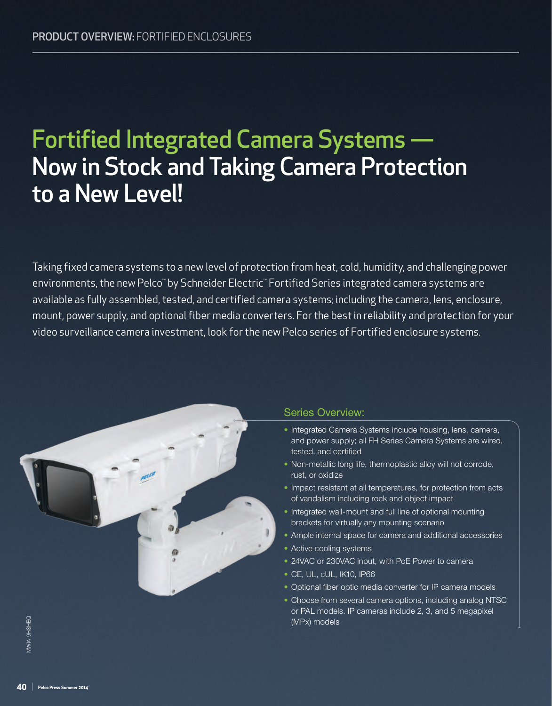# Fortified Integrated Camera Systems — Now in Stock and Taking Camera Protection to a New Level!

Taking fixed camera systems to a new level of protection from heat, cold, humidity, and challenging power environments, the new Pelco™ by Schneider Electric™ Fortified Series integrated camera systems are available as fully assembled, tested, and certified camera systems; including the camera, lens, enclosure, mount, power supply, and optional fiber media converters. For the best in reliability and protection for your video surveillance camera investment, look for the new Pelco series of Fortified enclosure systems.



### Series Overview:

- Integrated Camera Systems include housing, lens, camera, and power supply; all FH Series Camera Systems are wired, tested, and certified
- Non metallic long life, thermoplastic alloy will not corrode, rust, or oxidize
- Impact resistant at all temperatures, for protection from acts of vandalism including rock and object impact
- Integrated wall mount and full line of optional mounting brackets for virtually any mounting scenario
- Ample internal space for camera and additional accessories
- Active cooling systems
- 24VAC or 230VAC input, with PoE Power to camera
- CE, UL, cUL, IK10, IP66
- Optional fiber optic media converter for IP camera models
- Choose from several camera options, including analog NTSC or PAL models. IP cameras include 2, 3, and 5 megapixel (MPx) models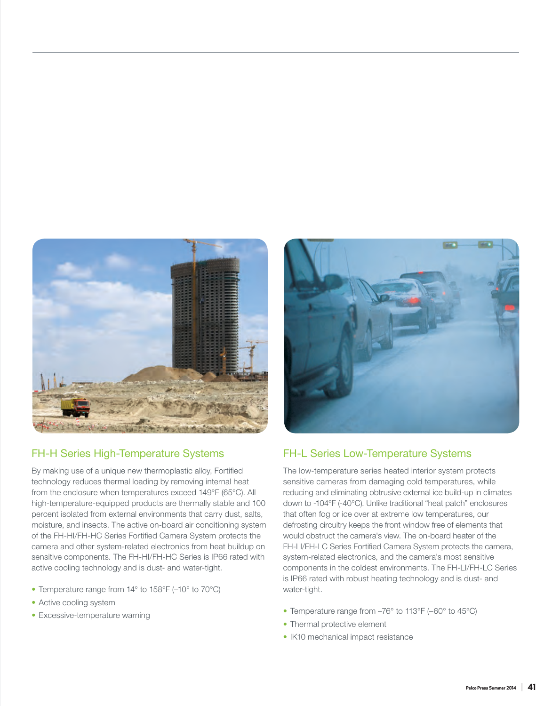

# FH-H Series High-Temperature Systems

By making use of a unique new thermoplastic alloy, Fortified technology reduces thermal loading by removing internal heat from the enclosure when temperatures exceed 149°F (65°C). All high-temperature-equipped products are thermally stable and 100 percent isolated from external environments that carry dust, salts, moisture, and insects. The active on-board air conditioning system of the FH-HI/FH-HC Series Fortified Camera System protects the camera and other system-related electronics from heat buildup on sensitive components. The FH-HI/FH-HC Series is IP66 rated with active cooling technology and is dust- and water-tight.

- Temperature range from 14° to 158°F (–10° to 70°C)
- Active cooling system
- Excessive-temperature warning



# FH-L Series Low-Temperature Systems

The low-temperature series heated interior system protects sensitive cameras from damaging cold temperatures, while reducing and eliminating obtrusive external ice build-up in climates down to -104°F (-40°C). Unlike traditional "heat patch" enclosures that often fog or ice over at extreme low temperatures, our defrosting circuitry keeps the front window free of elements that would obstruct the camera's view. The on-board heater of the FH-LI/FH-LC Series Fortified Camera System protects the camera, system-related electronics, and the camera's most sensitive components in the coldest environments. The FH-LI/FH-LC Series is IP66 rated with robust heating technology and is dust- and water-tight.

- Temperature range from –76° to 113°F (–60° to 45°C)
- Thermal protective element
- IK10 mechanical impact resistance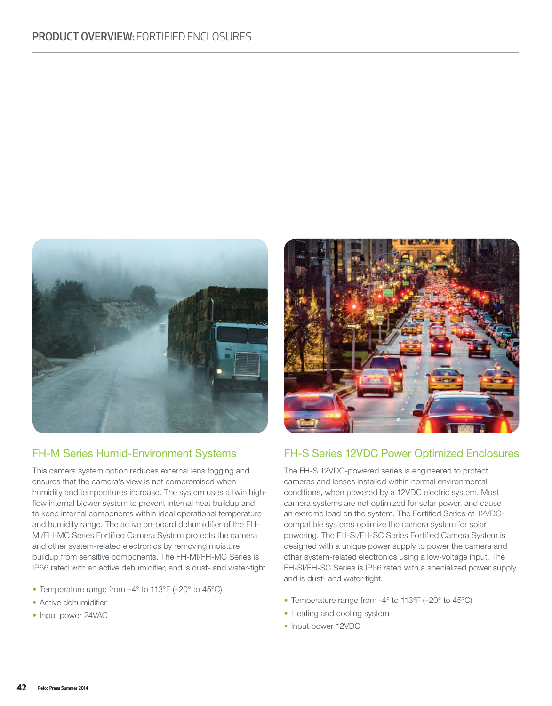

# FH-M Series Humid-Environment Systems

This camera system option reduces external lens fogging and ensures that the camera's view is not compromised when humidity and temperatures increase. The system uses a twin highflow internal blower system to prevent internal heat buildup and to keep internal components within ideal operational temperature and humidity range. The active on-board dehumidifier of the FH-MI/FH-MC Series Fortified Camera System protects the camera and other system-related electronics by removing moisture buildup from sensitive components. The FH-MI/FH-MC Series is IP66 rated with an active dehumidifier, and is dust- and water-tight.

- Temperature range from –4° to 113°F (–20° to 45°C)
- Active dehumidifier
- Input power 24VAC



### FH-S Series 12VDC Power Optimized Enclosures

The FH-S 12VDC-powered series is engineered to protect cameras and lenses installed within normal environmental conditions, when powered by a 12VDC electric system. Most camera systems are not optimized for solar power, and cause an extreme load on the system. The Fortified Series of 12VDCcompatible systems optimize the camera system for solar powering. The FH-SI/FH-SC Series Fortified Camera System is designed with a unique power supply to power the camera and other system-related electronics using a low-voltage input. The FH-SI/FH-SC Series is IP66 rated with a specialized power supply and is dust- and water-tight.

- Temperature range from -4° to 113°F (–20° to 45°C)
- Heating and cooling system
- Input power 12VDC